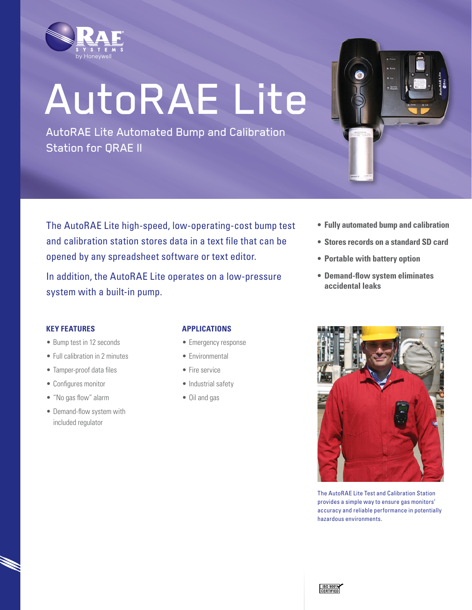

# AutoRAE Lite

AutoRAE Lite Automated Bump and Calibration Station for QRAE II

The AutoRAE Lite high-speed, low-operating-cost bump test and calibration station stores data in a text file that can be opened by any spreadsheet software or text editor.

In addition, the AutoRAE Lite operates on a low-pressure system with a built-in pump.

- **• Fully automated bump and calibration**
- **• Stores records on a standard SD card**
- **• Portable with battery option**
- **• Demand-flow system eliminates accidental leaks**

## **Key Features**

- Bump test in 12 seconds
- Full calibration in 2 minutes
- Tamper-proof data files
- • Configures monitor
- • "No gas flow" alarm
- Demand-flow system with included regulator

## **Applications**

- Emergency response
- Environmental
- Fire service
- Industrial safety
- Oil and gas



The AutoRAE Lite Test and Calibration Station provides a simple way to ensure gas monitors' accuracy and reliable performance in potentially hazardous environments.